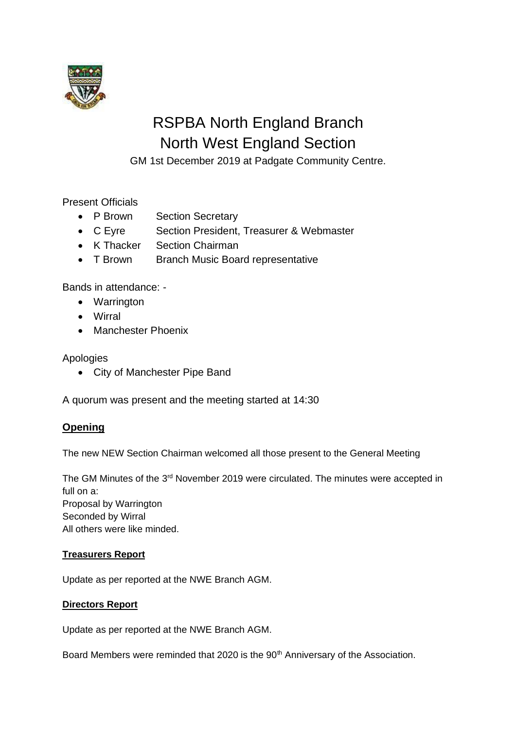

# RSPBA North England Branch North West England Section

GM 1st December 2019 at Padgate Community Centre.

Present Officials

- P Brown Section Secretary
- C Eyre Section President, Treasurer & Webmaster
- K Thacker Section Chairman
- T Brown Branch Music Board representative

Bands in attendance: -

- Warrington
- Wirral
- Manchester Phoenix

# Apologies

• City of Manchester Pipe Band

A quorum was present and the meeting started at 14:30

# **Opening**

The new NEW Section Chairman welcomed all those present to the General Meeting

The GM Minutes of the 3<sup>rd</sup> November 2019 were circulated. The minutes were accepted in full on a: Proposal by Warrington Seconded by Wirral All others were like minded.

# **Treasurers Report**

Update as per reported at the NWE Branch AGM.

# **Directors Report**

Update as per reported at the NWE Branch AGM.

Board Members were reminded that 2020 is the 90<sup>th</sup> Anniversary of the Association.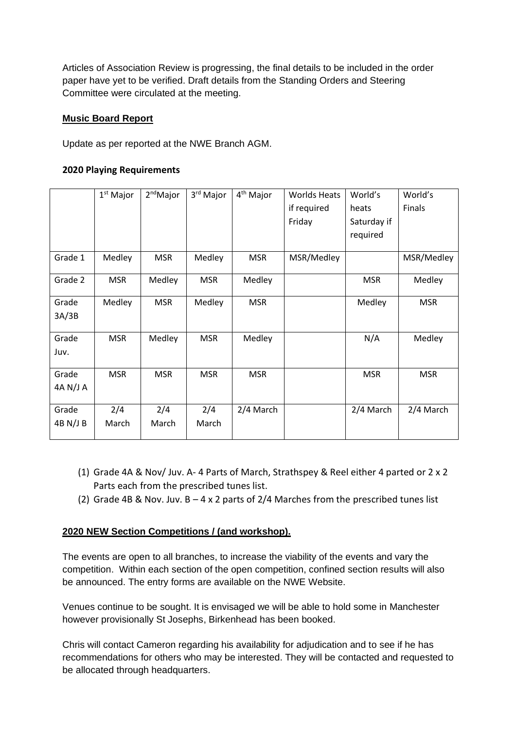Articles of Association Review is progressing, the final details to be included in the order paper have yet to be verified. Draft details from the Standing Orders and Steering Committee were circulated at the meeting.

#### **Music Board Report**

Update as per reported at the NWE Branch AGM.

#### **2020 Playing Requirements**

|                   | $1st$ Major  | 2 <sup>nd</sup> Major | 3 <sup>rd</sup> Major | 4 <sup>th</sup> Major | <b>Worlds Heats</b><br>if required<br>Friday | World's<br>heats<br>Saturday if<br>required | World's<br>Finals |
|-------------------|--------------|-----------------------|-----------------------|-----------------------|----------------------------------------------|---------------------------------------------|-------------------|
| Grade 1           | Medley       | <b>MSR</b>            | Medley                | <b>MSR</b>            | MSR/Medley                                   |                                             | MSR/Medley        |
| Grade 2           | <b>MSR</b>   | Medley                | <b>MSR</b>            | Medley                |                                              | <b>MSR</b>                                  | Medley            |
| Grade<br>3A/3B    | Medley       | <b>MSR</b>            | Medley                | <b>MSR</b>            |                                              | Medley                                      | <b>MSR</b>        |
| Grade<br>Juv.     | <b>MSR</b>   | Medley                | <b>MSR</b>            | Medley                |                                              | N/A                                         | Medley            |
| Grade<br>4A N/J A | <b>MSR</b>   | <b>MSR</b>            | <b>MSR</b>            | <b>MSR</b>            |                                              | <b>MSR</b>                                  | <b>MSR</b>        |
| Grade<br>4B N/J B | 2/4<br>March | 2/4<br>March          | 2/4<br>March          | 2/4 March             |                                              | 2/4 March                                   | 2/4 March         |

- (1) Grade 4A & Nov/ Juv. A- 4 Parts of March, Strathspey & Reel either 4 parted or 2 x 2 Parts each from the prescribed tunes list.
- (2) Grade 4B & Nov. Juv.  $B 4 \times 2$  parts of 2/4 Marches from the prescribed tunes list

# **2020 NEW Section Competitions / (and workshop).**

The events are open to all branches, to increase the viability of the events and vary the competition. Within each section of the open competition, confined section results will also be announced. The entry forms are available on the NWE Website.

Venues continue to be sought. It is envisaged we will be able to hold some in Manchester however provisionally St Josephs, Birkenhead has been booked.

Chris will contact Cameron regarding his availability for adjudication and to see if he has recommendations for others who may be interested. They will be contacted and requested to be allocated through headquarters.